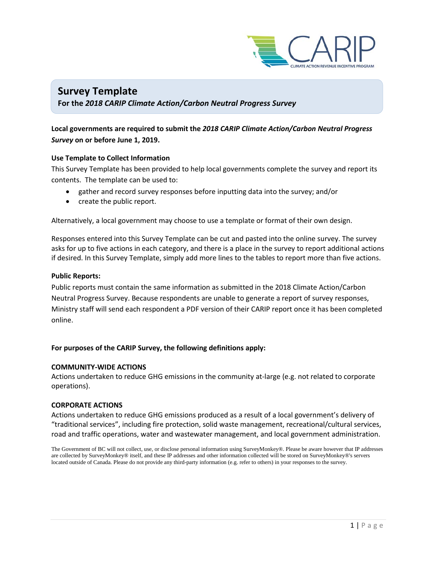

## **Survey Template For the** *2018 CARIP Climate Action/Carbon Neutral Progress Survey*

### **Local governments are required to submit the** *2018 CARIP Climate Action/Carbon Neutral Progress Survey* **on or before June 1, 2019.**

#### **Use Template to Collect Information**

This Survey Template has been provided to help local governments complete the survey and report its contents. The template can be used to:

- gather and record survey responses before inputting data into the survey; and/or
- create the public report.

Alternatively, a local government may choose to use a template or format of their own design.

Responses entered into this Survey Template can be cut and pasted into the online survey. The survey asks for up to five actions in each category, and there is a place in the survey to report additional actions if desired. In this Survey Template, simply add more lines to the tables to report more than five actions.

#### **Public Reports:**

Public reports must contain the same information as submitted in the 2018 Climate Action/Carbon Neutral Progress Survey. Because respondents are unable to generate a report of survey responses, Ministry staff will send each respondent a PDF version of their CARIP report once it has been completed online.

#### **For purposes of the CARIP Survey, the following definitions apply:**

#### **COMMUNITY-WIDE ACTIONS**

Actions undertaken to reduce GHG emissions in the community at-large (e.g. not related to corporate operations).

#### **CORPORATE ACTIONS**

Actions undertaken to reduce GHG emissions produced as a result of a local government's delivery of "traditional services", including fire protection, solid waste management, recreational/cultural services, road and traffic operations, water and wastewater management, and local government administration.

The Government of BC will not collect, use, or disclose personal information using SurveyMonkey®. Please be aware however that IP addresses are collected by SurveyMonkey® itself, and these IP addresses and other information collected will be stored on SurveyMonkey®'s servers located outside of Canada. Please do not provide any third-party information (e.g. refer to others) in your responses to the survey.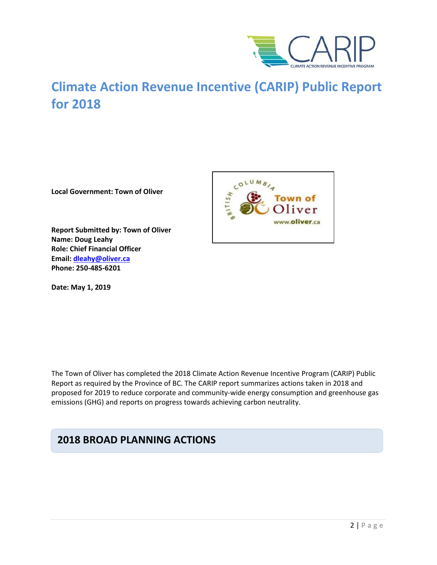

# **Climate Action Revenue Incentive (CARIP) Public Report for 2018**

**Local Government: Town of Oliver**

**Report Submitted by: Town of Oliver Name: Doug Leahy Role: Chief Financial Officer Email: [dleahy@oliver.ca](mailto:dleahy@oliver.ca) Phone: 250-485-6201**

**Date: May 1, 2019**



The Town of Oliver has completed the 2018 Climate Action Revenue Incentive Program (CARIP) Public Report as required by the Province of BC. The CARIP report summarizes actions taken in 2018 and proposed for 2019 to reduce corporate and community-wide energy consumption and greenhouse gas emissions (GHG) and reports on progress towards achieving carbon neutrality.

# **2018 BROAD PLANNING ACTIONS**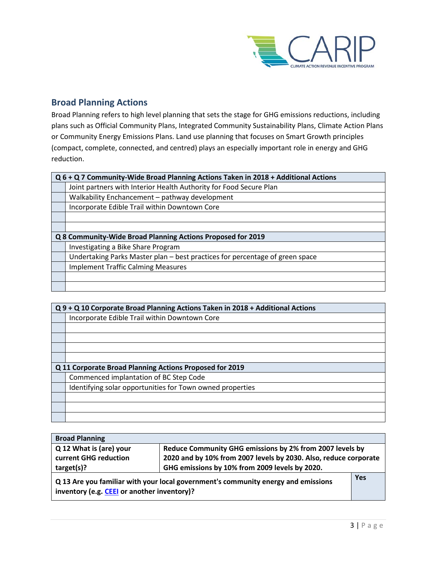

### **Broad Planning Actions**

Broad Planning refers to high level planning that sets the stage for GHG emissions reductions, including plans such as Official Community Plans, Integrated Community Sustainability Plans, Climate Action Plans or Community Energy Emissions Plans. Land use planning that focuses on Smart Growth principles (compact, complete, connected, and centred) plays an especially important role in energy and GHG reduction.

| Q 6 + Q 7 Community-Wide Broad Planning Actions Taken in 2018 + Additional Actions |  |  |
|------------------------------------------------------------------------------------|--|--|
| Joint partners with Interior Health Authority for Food Secure Plan                 |  |  |
| Walkability Enchancement - pathway development                                     |  |  |
| Incorporate Edible Trail within Downtown Core                                      |  |  |
|                                                                                    |  |  |
|                                                                                    |  |  |
| Q 8 Community-Wide Broad Planning Actions Proposed for 2019                        |  |  |
| Investigating a Bike Share Program                                                 |  |  |
| Undertaking Parks Master plan – best practices for percentage of green space       |  |  |
| <b>Implement Traffic Calming Measures</b>                                          |  |  |
|                                                                                    |  |  |
|                                                                                    |  |  |

| Q 9 + Q 10 Corporate Broad Planning Actions Taken in 2018 + Additional Actions |  |  |
|--------------------------------------------------------------------------------|--|--|
| Incorporate Edible Trail within Downtown Core                                  |  |  |
|                                                                                |  |  |
|                                                                                |  |  |
|                                                                                |  |  |
|                                                                                |  |  |
| Q 11 Corporate Broad Planning Actions Proposed for 2019                        |  |  |
| Commenced implantation of BC Step Code                                         |  |  |
| Identifying solar opportunities for Town owned properties                      |  |  |
|                                                                                |  |  |
|                                                                                |  |  |
|                                                                                |  |  |

| <b>Broad Planning</b>                                                                                                            |                                                |  |
|----------------------------------------------------------------------------------------------------------------------------------|------------------------------------------------|--|
| Q 12 What is (are) your<br>Reduce Community GHG emissions by 2% from 2007 levels by                                              |                                                |  |
| 2020 and by 10% from 2007 levels by 2030. Also, reduce corporate<br>current GHG reduction                                        |                                                |  |
| target(s)?                                                                                                                       | GHG emissions by 10% from 2009 levels by 2020. |  |
| Q 13 Are you familiar with your local government's community energy and emissions<br>inventory (e.g. CEEI or another inventory)? |                                                |  |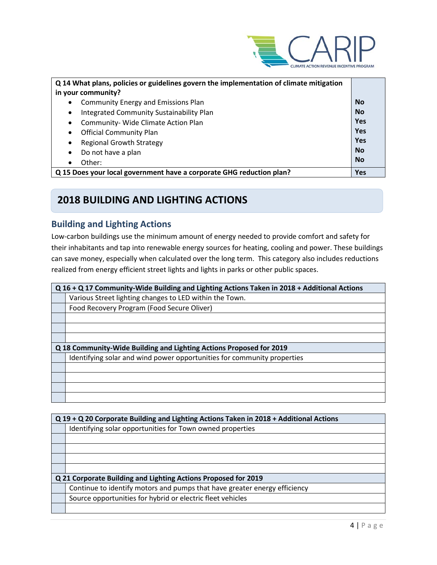

| Q 14 What plans, policies or guidelines govern the implementation of climate mitigation |            |  |
|-----------------------------------------------------------------------------------------|------------|--|
| in your community?                                                                      |            |  |
| <b>Community Energy and Emissions Plan</b><br>$\bullet$                                 | <b>No</b>  |  |
| Integrated Community Sustainability Plan<br>$\bullet$                                   | <b>No</b>  |  |
| Community- Wide Climate Action Plan<br>$\bullet$                                        | Yes        |  |
| <b>Official Community Plan</b><br>$\bullet$                                             | <b>Yes</b> |  |
| <b>Regional Growth Strategy</b><br>$\bullet$                                            | Yes        |  |
| Do not have a plan<br>$\bullet$                                                         | <b>No</b>  |  |
| Other:<br>$\bullet$                                                                     | <b>No</b>  |  |
| Q 15 Does your local government have a corporate GHG reduction plan?                    |            |  |

# **2018 BUILDING AND LIGHTING ACTIONS**

### **Building and Lighting Actions**

Low-carbon buildings use the minimum amount of energy needed to provide comfort and safety for their inhabitants and tap into renewable energy sources for heating, cooling and power. These buildings can save money, especially when calculated over the long term. This category also includes reductions realized from energy efficient street lights and lights in parks or other public spaces.

| Q 16 + Q 17 Community-Wide Building and Lighting Actions Taken in 2018 + Additional Actions |  |  |
|---------------------------------------------------------------------------------------------|--|--|
| Various Street lighting changes to LED within the Town.                                     |  |  |
| Food Recovery Program (Food Secure Oliver)                                                  |  |  |
|                                                                                             |  |  |
|                                                                                             |  |  |
|                                                                                             |  |  |
| Q 18 Community-Wide Building and Lighting Actions Proposed for 2019                         |  |  |
| Identifying solar and wind power opportunities for community properties                     |  |  |
|                                                                                             |  |  |
|                                                                                             |  |  |
|                                                                                             |  |  |
|                                                                                             |  |  |

| Q 19 + Q 20 Corporate Building and Lighting Actions Taken in 2018 + Additional Actions |  |  |
|----------------------------------------------------------------------------------------|--|--|
| Identifying solar opportunities for Town owned properties                              |  |  |
|                                                                                        |  |  |
|                                                                                        |  |  |
|                                                                                        |  |  |
|                                                                                        |  |  |
| Q 21 Corporate Building and Lighting Actions Proposed for 2019                         |  |  |
| Continue to identify motors and pumps that have greater energy efficiency              |  |  |
| Source opportunities for hybrid or electric fleet vehicles                             |  |  |
|                                                                                        |  |  |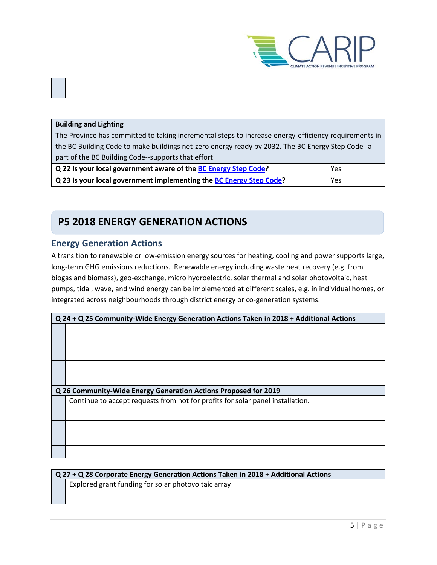

#### **Building and Lighting**

**The Contract of Street** 

The Province has committed to taking incremental steps to increase energy-efficiency requirements in the BC Building Code to make buildings net-zero energy ready by 2032. The BC Energy Step Code--a part of the BC Building Code--supports that effort

| Q 22 Is your local government aware of the BC Energy Step Code?     | Yes |
|---------------------------------------------------------------------|-----|
| Q 23 Is your local government implementing the BC Energy Step Code? | Yes |

# **P5 2018 ENERGY GENERATION ACTIONS**

### **Energy Generation Actions**

A transition to renewable or low-emission energy sources for heating, cooling and power supports large, long-term GHG emissions reductions. Renewable energy including waste heat recovery (e.g. from biogas and biomass), geo-exchange, micro hydroelectric, solar thermal and solar photovoltaic, heat pumps, tidal, wave, and wind energy can be implemented at different scales, e.g. in individual homes, or integrated across neighbourhoods through district energy or co-generation systems.

| Q 24 + Q 25 Community-Wide Energy Generation Actions Taken in 2018 + Additional Actions |  |  |  |
|-----------------------------------------------------------------------------------------|--|--|--|
|                                                                                         |  |  |  |
|                                                                                         |  |  |  |
|                                                                                         |  |  |  |
|                                                                                         |  |  |  |
|                                                                                         |  |  |  |
| Q 26 Community-Wide Energy Generation Actions Proposed for 2019                         |  |  |  |
| Continue to accept requests from not for profits for solar panel installation.          |  |  |  |
|                                                                                         |  |  |  |
|                                                                                         |  |  |  |
|                                                                                         |  |  |  |
|                                                                                         |  |  |  |

| $Q27 + Q28$ Corporate Energy Generation Actions Taken in 2018 + Additional Actions |  |  |
|------------------------------------------------------------------------------------|--|--|
| Explored grant funding for solar photovoltaic array                                |  |  |
|                                                                                    |  |  |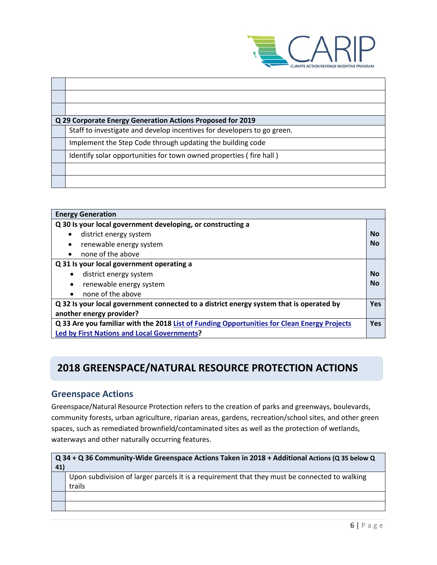

| Q 29 Corporate Energy Generation Actions Proposed for 2019              |
|-------------------------------------------------------------------------|
| Staff to investigate and develop incentives for developers to go green. |
| Implement the Step Code through updating the building code              |
| Identify solar opportunities for town owned properties (fire hall)      |
|                                                                         |
|                                                                         |

| <b>Energy Generation</b>                                                                    |           |  |
|---------------------------------------------------------------------------------------------|-----------|--|
| Q 30 Is your local government developing, or constructing a                                 |           |  |
| district energy system                                                                      | No        |  |
| renewable energy system<br>٠                                                                | No        |  |
| none of the above<br>$\bullet$                                                              |           |  |
| Q 31 Is your local government operating a                                                   |           |  |
| district energy system                                                                      | <b>No</b> |  |
| renewable energy system<br>$\bullet$                                                        | No        |  |
| none of the above                                                                           |           |  |
| Q 32 Is your local government connected to a district energy system that is operated by     |           |  |
| another energy provider?                                                                    |           |  |
| Q 33 Are you familiar with the 2018 List of Funding Opportunities for Clean Energy Projects |           |  |
| <b>Led by First Nations and Local Governments?</b>                                          |           |  |

# **2018 GREENSPACE/NATURAL RESOURCE PROTECTION ACTIONS**

## **Greenspace Actions**

Greenspace/Natural Resource Protection refers to the creation of parks and greenways, boulevards, community forests, urban agriculture, riparian areas, gardens, recreation/school sites, and other green spaces, such as remediated brownfield/contaminated sites as well as the protection of wetlands, waterways and other naturally occurring features.

| Q 34 + Q 36 Community-Wide Greenspace Actions Taken in 2018 + Additional Actions (Q 35 below Q<br>41)   |  |
|---------------------------------------------------------------------------------------------------------|--|
| Upon subdivision of larger parcels it is a requirement that they must be connected to walking<br>trails |  |
|                                                                                                         |  |
|                                                                                                         |  |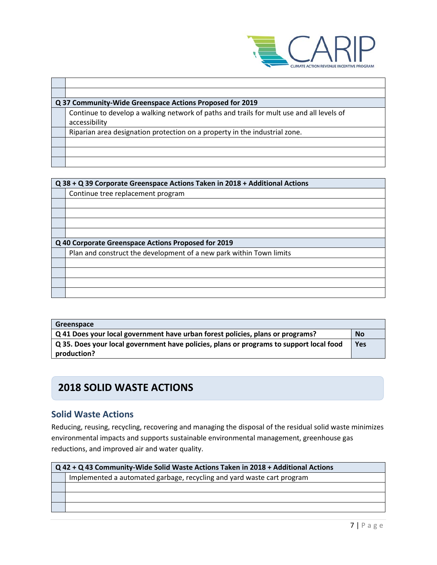

| Q 37 Community-Wide Greenspace Actions Proposed for 2019                                 |  |
|------------------------------------------------------------------------------------------|--|
| Continue to develop a walking network of paths and trails for mult use and all levels of |  |
| accessibility                                                                            |  |
| Riparian area designation protection on a property in the industrial zone.               |  |
|                                                                                          |  |
|                                                                                          |  |
|                                                                                          |  |

| Q 38 + Q 39 Corporate Greenspace Actions Taken in 2018 + Additional Actions |  |
|-----------------------------------------------------------------------------|--|
| Continue tree replacement program                                           |  |
|                                                                             |  |
|                                                                             |  |
|                                                                             |  |
|                                                                             |  |
| Q 40 Corporate Greenspace Actions Proposed for 2019                         |  |
| Plan and construct the development of a new park within Town limits         |  |
|                                                                             |  |
|                                                                             |  |
|                                                                             |  |
|                                                                             |  |

| Greenspace                                                                              |  |
|-----------------------------------------------------------------------------------------|--|
| Q 41 Does your local government have urban forest policies, plans or programs?          |  |
| Q 35. Does your local government have policies, plans or programs to support local food |  |
| production?                                                                             |  |

# **2018 SOLID WASTE ACTIONS**

# **Solid Waste Actions**

Reducing, reusing, recycling, recovering and managing the disposal of the residual solid waste minimizes environmental impacts and supports sustainable environmental management, greenhouse gas reductions, and improved air and water quality.

| Q 42 + Q 43 Community-Wide Solid Waste Actions Taken in 2018 + Additional Actions |  |
|-----------------------------------------------------------------------------------|--|
| Implemented a automated garbage, recycling and yard waste cart program            |  |
|                                                                                   |  |
|                                                                                   |  |
|                                                                                   |  |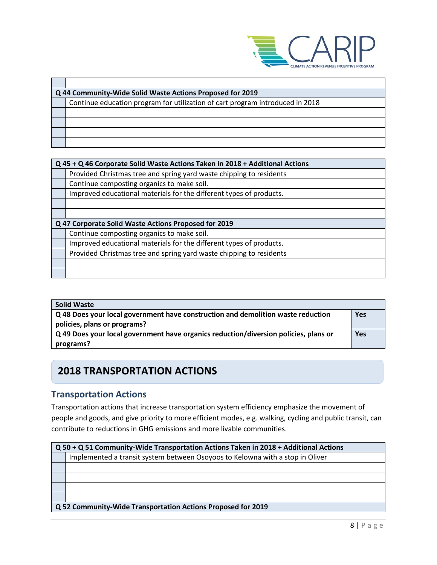

| Q 44 Community-Wide Solid Waste Actions Proposed for 2019                     |  |
|-------------------------------------------------------------------------------|--|
| Continue education program for utilization of cart program introduced in 2018 |  |
|                                                                               |  |
|                                                                               |  |
|                                                                               |  |
|                                                                               |  |

| Q 45 + Q 46 Corporate Solid Waste Actions Taken in 2018 + Additional Actions |  |
|------------------------------------------------------------------------------|--|
| Provided Christmas tree and spring yard waste chipping to residents          |  |
| Continue composting organics to make soil.                                   |  |
| Improved educational materials for the different types of products.          |  |
|                                                                              |  |
|                                                                              |  |
| Q 47 Corporate Solid Waste Actions Proposed for 2019                         |  |
| Continue composting organics to make soil.                                   |  |
| Improved educational materials for the different types of products.          |  |
| Provided Christmas tree and spring yard waste chipping to residents          |  |
|                                                                              |  |

| <b>Solid Waste</b>                                                                                               |     |
|------------------------------------------------------------------------------------------------------------------|-----|
| Q 48 Does your local government have construction and demolition waste reduction<br>policies, plans or programs? | Yes |
| Q 49 Does your local government have organics reduction/diversion policies, plans or                             | Yes |
| programs?                                                                                                        |     |

# **2018 TRANSPORTATION ACTIONS**

### **Transportation Actions**

Transportation actions that increase transportation system efficiency emphasize the movement of people and goods, and give priority to more efficient modes, e.g. walking, cycling and public transit, can contribute to reductions in GHG emissions and more livable communities.

|                                                              | Q 50 + Q 51 Community-Wide Transportation Actions Taken in 2018 + Additional Actions |  |
|--------------------------------------------------------------|--------------------------------------------------------------------------------------|--|
|                                                              | Implemented a transit system between Osoyoos to Kelowna with a stop in Oliver        |  |
|                                                              |                                                                                      |  |
|                                                              |                                                                                      |  |
|                                                              |                                                                                      |  |
|                                                              |                                                                                      |  |
| Q 52 Community-Wide Transportation Actions Proposed for 2019 |                                                                                      |  |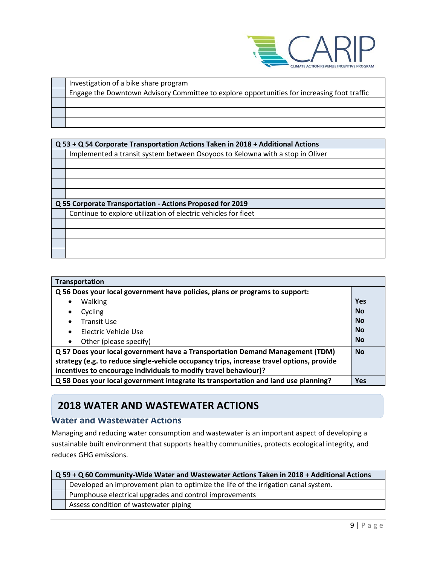

| Investigation of a bike share program                                                       |
|---------------------------------------------------------------------------------------------|
| Engage the Downtown Advisory Committee to explore opportunities for increasing foot traffic |
|                                                                                             |
|                                                                                             |
|                                                                                             |

| Q 53 + Q 54 Corporate Transportation Actions Taken in 2018 + Additional Actions |  |  |
|---------------------------------------------------------------------------------|--|--|
| Implemented a transit system between Osoyoos to Kelowna with a stop in Oliver   |  |  |
|                                                                                 |  |  |
|                                                                                 |  |  |
|                                                                                 |  |  |
|                                                                                 |  |  |
| Q 55 Corporate Transportation - Actions Proposed for 2019                       |  |  |
| Continue to explore utilization of electric vehicles for fleet                  |  |  |
|                                                                                 |  |  |
|                                                                                 |  |  |
|                                                                                 |  |  |
|                                                                                 |  |  |

| <b>Transportation</b>                                                                     |            |
|-------------------------------------------------------------------------------------------|------------|
| Q 56 Does your local government have policies, plans or programs to support:              |            |
| Walking<br>$\bullet$                                                                      | <b>Yes</b> |
| Cycling<br>$\bullet$                                                                      | <b>No</b>  |
| Transit Use<br>$\bullet$                                                                  | <b>No</b>  |
| Flectric Vehicle Use<br>$\bullet$                                                         | <b>No</b>  |
| Other (please specify)<br>$\bullet$                                                       | <b>No</b>  |
| Q 57 Does your local government have a Transportation Demand Management (TDM)             |            |
| strategy (e.g. to reduce single-vehicle occupancy trips, increase travel options, provide |            |
| incentives to encourage individuals to modify travel behaviour)?                          |            |
| Q 58 Does your local government integrate its transportation and land use planning?       | <b>Yes</b> |

# **2018 WATER AND WASTEWATER ACTIONS**

### **Water and Wastewater Actions**

Managing and reducing water consumption and wastewater is an important aspect of developing a sustainable built environment that supports healthy communities, protects ecological integrity, and reduces GHG emissions.

| Q 59 + Q 60 Community-Wide Water and Wastewater Actions Taken in 2018 + Additional Actions |                                                                                    |
|--------------------------------------------------------------------------------------------|------------------------------------------------------------------------------------|
|                                                                                            | Developed an improvement plan to optimize the life of the irrigation canal system. |
|                                                                                            | Pumphouse electrical upgrades and control improvements                             |
|                                                                                            | Assess condition of wastewater piping                                              |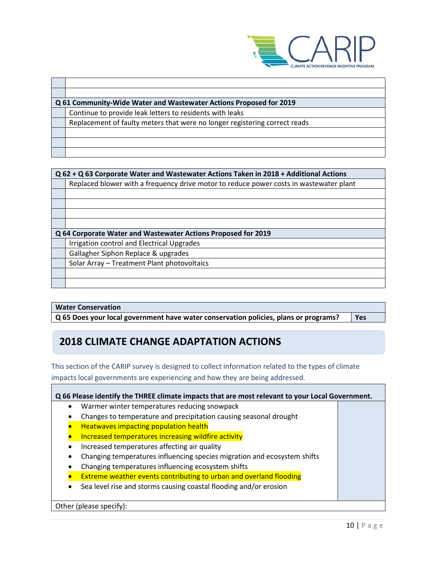

| Q 61 Community-Wide Water and Wastewater Actions Proposed for 2019         |  |  |
|----------------------------------------------------------------------------|--|--|
| Continue to provide leak letters to residents with leaks                   |  |  |
| Replacement of faulty meters that were no longer registering correct reads |  |  |
|                                                                            |  |  |
|                                                                            |  |  |
|                                                                            |  |  |
|                                                                            |  |  |

| Q 62 + Q 63 Corporate Water and Wastewater Actions Taken in 2018 + Additional Actions |                                                                                        |  |
|---------------------------------------------------------------------------------------|----------------------------------------------------------------------------------------|--|
|                                                                                       | Replaced blower with a frequency drive motor to reduce power costs in wastewater plant |  |
|                                                                                       |                                                                                        |  |
|                                                                                       |                                                                                        |  |
|                                                                                       |                                                                                        |  |
|                                                                                       |                                                                                        |  |
| Q 64 Corporate Water and Wastewater Actions Proposed for 2019                         |                                                                                        |  |
|                                                                                       |                                                                                        |  |
|                                                                                       | Irrigation control and Electrical Upgrades                                             |  |
|                                                                                       | Gallagher Siphon Replace & upgrades                                                    |  |
|                                                                                       | Solar Array - Treatment Plant photovoltaics                                            |  |
|                                                                                       |                                                                                        |  |

#### **Water Conservation**

**Q 65 Does your local government have water conservation policies, plans or programs? Yes**

# **2018 CLIMATE CHANGE ADAPTATION ACTIONS**

This section of the CARIP survey is designed to collect information related to the types of climate impacts local governments are experiencing and how they are being addressed.

| Q 66 Please identify the THREE climate impacts that are most relevant to your Local Government. |                                                                          |  |
|-------------------------------------------------------------------------------------------------|--------------------------------------------------------------------------|--|
| $\bullet$                                                                                       | Warmer winter temperatures reducing snowpack                             |  |
|                                                                                                 | Changes to temperature and precipitation causing seasonal drought        |  |
|                                                                                                 | <b>Heatwaves impacting population health</b>                             |  |
|                                                                                                 | Increased temperatures increasing wildfire activity                      |  |
| $\bullet$                                                                                       | Increased temperatures affecting air quality                             |  |
| ٠                                                                                               | Changing temperatures influencing species migration and ecosystem shifts |  |
|                                                                                                 | Changing temperatures influencing ecosystem shifts                       |  |
|                                                                                                 | Extreme weather events contributing to urban and overland flooding       |  |
|                                                                                                 | Sea level rise and storms causing coastal flooding and/or erosion        |  |
|                                                                                                 |                                                                          |  |

Other (please specify):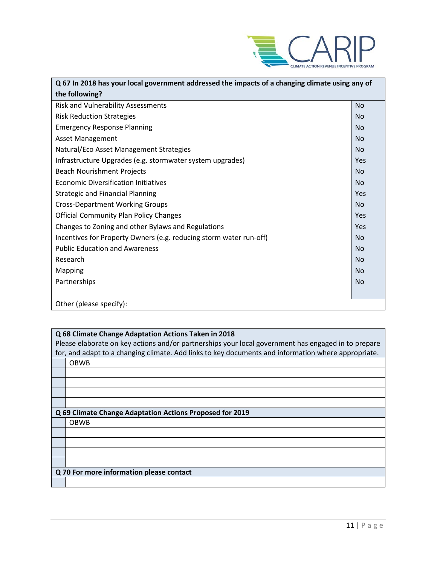

| Q 67 In 2018 has your local government addressed the impacts of a changing climate using any of |           |
|-------------------------------------------------------------------------------------------------|-----------|
| the following?                                                                                  |           |
| Risk and Vulnerability Assessments                                                              | <b>No</b> |
| <b>Risk Reduction Strategies</b>                                                                | <b>No</b> |
| <b>Emergency Response Planning</b>                                                              | <b>No</b> |
| <b>Asset Management</b>                                                                         | <b>No</b> |
| Natural/Eco Asset Management Strategies                                                         | <b>No</b> |
| Infrastructure Upgrades (e.g. stormwater system upgrades)                                       | Yes       |
| <b>Beach Nourishment Projects</b>                                                               | <b>No</b> |
| <b>Economic Diversification Initiatives</b>                                                     | <b>No</b> |
| <b>Strategic and Financial Planning</b>                                                         | Yes       |
| <b>Cross-Department Working Groups</b>                                                          | <b>No</b> |
| <b>Official Community Plan Policy Changes</b>                                                   | Yes       |
| Changes to Zoning and other Bylaws and Regulations                                              | Yes       |
| Incentives for Property Owners (e.g. reducing storm water run-off)                              | <b>No</b> |
| <b>Public Education and Awareness</b>                                                           | <b>No</b> |
| Research                                                                                        | <b>No</b> |
| Mapping                                                                                         | <b>No</b> |
| Partnerships                                                                                    | <b>No</b> |
|                                                                                                 |           |
| Other (please specify):                                                                         |           |

### **Q 68 Climate Change Adaptation Actions Taken in 2018**

| Please elaborate on key actions and/or partnerships your local government has engaged in to prepare |                                                          |  |
|-----------------------------------------------------------------------------------------------------|----------------------------------------------------------|--|
| for, and adapt to a changing climate. Add links to key documents and information where appropriate. |                                                          |  |
|                                                                                                     | <b>OBWB</b>                                              |  |
|                                                                                                     |                                                          |  |
|                                                                                                     |                                                          |  |
|                                                                                                     |                                                          |  |
|                                                                                                     |                                                          |  |
|                                                                                                     | Q 69 Climate Change Adaptation Actions Proposed for 2019 |  |
|                                                                                                     | <b>OBWB</b>                                              |  |
|                                                                                                     |                                                          |  |
|                                                                                                     |                                                          |  |
|                                                                                                     |                                                          |  |
|                                                                                                     |                                                          |  |
|                                                                                                     | Q 70 For more information please contact                 |  |
|                                                                                                     |                                                          |  |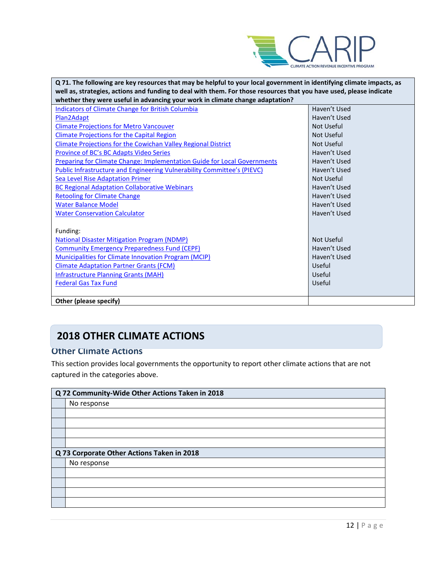

| Q 71. The following are key resources that may be helpful to your local government in identifying climate impacts, as |                   |  |
|-----------------------------------------------------------------------------------------------------------------------|-------------------|--|
| well as, strategies, actions and funding to deal with them. For those resources that you have used, please indicate   |                   |  |
| whether they were useful in advancing your work in climate change adaptation?                                         |                   |  |
| <b>Indicators of Climate Change for British Columbia</b>                                                              | Haven't Used      |  |
| Plan2Adapt                                                                                                            | Haven't Used      |  |
| <b>Climate Projections for Metro Vancouver</b>                                                                        | Not Useful        |  |
| <b>Climate Projections for the Capital Region</b>                                                                     | Not Useful        |  |
| <b>Climate Projections for the Cowichan Valley Regional District</b>                                                  | <b>Not Useful</b> |  |
| Province of BC's BC Adapts Video Series                                                                               | Haven't Used      |  |
| <b>Preparing for Climate Change: Implementation Guide for Local Governments</b>                                       | Haven't Used      |  |
| <b>Public Infrastructure and Engineering Vulnerability Committee's (PIEVC)</b>                                        | Haven't Used      |  |
| <b>Sea Level Rise Adaptation Primer</b>                                                                               | Not Useful        |  |
| <b>BC Regional Adaptation Collaborative Webinars</b>                                                                  | Haven't Used      |  |
| <b>Retooling for Climate Change</b>                                                                                   | Haven't Used      |  |
| <b>Water Balance Model</b>                                                                                            | Haven't Used      |  |
| <b>Water Conservation Calculator</b>                                                                                  | Haven't Used      |  |
|                                                                                                                       |                   |  |
| Funding:                                                                                                              |                   |  |
| <b>National Disaster Mitigation Program (NDMP)</b>                                                                    | Not Useful        |  |
| <b>Community Emergency Preparedness Fund (CEPF)</b>                                                                   | Haven't Used      |  |
| <b>Municipalities for Climate Innovation Program (MCIP)</b>                                                           | Haven't Used      |  |
| <b>Climate Adaptation Partner Grants (FCM)</b>                                                                        | Useful            |  |
| <b>Infrastructure Planning Grants (MAH)</b>                                                                           | Useful            |  |
| <b>Federal Gas Tax Fund</b>                                                                                           | Useful            |  |
|                                                                                                                       |                   |  |
| Other (please specify)                                                                                                |                   |  |

# **2018 OTHER CLIMATE ACTIONS**

## **Other Climate Actions**

This section provides local governments the opportunity to report other climate actions that are not captured in the categories above.

| Q 72 Community-Wide Other Actions Taken in 2018 |                                            |  |  |
|-------------------------------------------------|--------------------------------------------|--|--|
|                                                 | No response                                |  |  |
|                                                 |                                            |  |  |
|                                                 |                                            |  |  |
|                                                 |                                            |  |  |
|                                                 |                                            |  |  |
|                                                 | Q 73 Corporate Other Actions Taken in 2018 |  |  |
|                                                 | No response                                |  |  |
|                                                 |                                            |  |  |
|                                                 |                                            |  |  |
|                                                 |                                            |  |  |
|                                                 |                                            |  |  |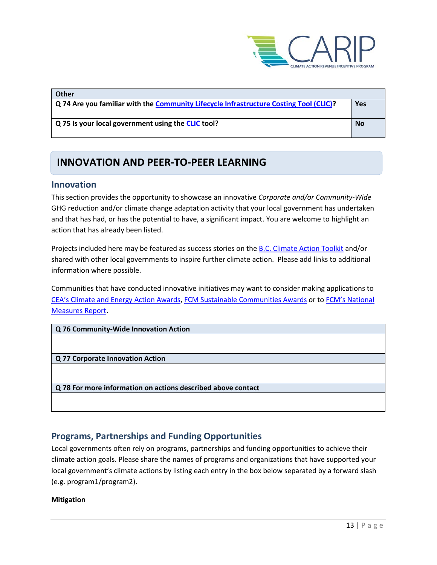

| <b>Other</b>                                                                           |           |
|----------------------------------------------------------------------------------------|-----------|
| Q 74 Are you familiar with the Community Lifecycle Infrastructure Costing Tool (CLIC)? | Yes       |
| Q 75 Is your local government using the CLIC tool?                                     | <b>No</b> |

# **INNOVATION AND PEER-TO-PEER LEARNING**

### **Innovation**

This section provides the opportunity to showcase an innovative *Corporate and/or Community-Wide*  GHG reduction and/or climate change adaptation activity that your local government has undertaken and that has had, or has the potential to have, a significant impact. You are welcome to highlight an action that has already been listed.

Projects included here may be featured as success stories on th[e B.C. Climate Action Toolkit](http://www.toolkit.bc.ca/) and/or shared with other local governments to inspire further climate action. Please add links to additional information where possible.

Communities that have conducted innovative initiatives may want to consider making applications to [CEA's Climate and Energy Action Awards,](http://communityenergy.bc.ca/climate-and-energy-action-awards/) [FCM Sustainable Communities Awards](https://fcm.ca/home/awards/sustainable-communities-awards.htm) or t[o FCM's National](https://fcm.ca/home/programs/partners-for-climate-protection/national-measures-report.htm)  [Measures Report.](https://fcm.ca/home/programs/partners-for-climate-protection/national-measures-report.htm)

**Q 76 Community-Wide Innovation Action**

**Q 77 Corporate Innovation Action**

**Q 78 For more information on actions described above contact**

### **Programs, Partnerships and Funding Opportunities**

Local governments often rely on programs, partnerships and funding opportunities to achieve their climate action goals. Please share the names of programs and organizations that have supported your local government's climate actions by listing each entry in the box below separated by a forward slash (e.g. program1/program2).

#### **Mitigation**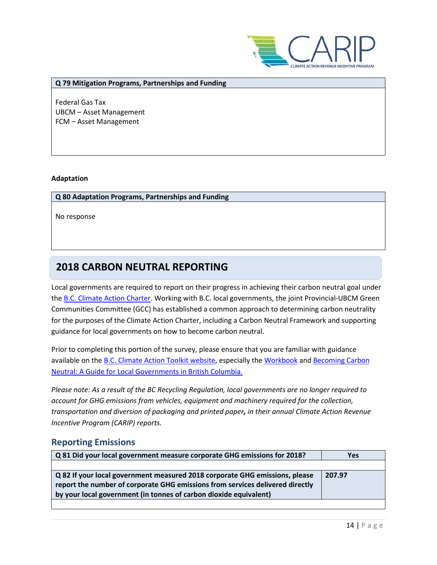

#### **Q 79 Mitigation Programs, Partnerships and Funding**

Federal Gas Tax UBCM – Asset Management FCM – Asset Management

#### **Adaptation**

#### **Q 80 Adaptation Programs, Partnerships and Funding**

No response

# **2018 CARBON NEUTRAL REPORTING**

Local governments are required to report on their progress in achieving their carbon neutral goal under the [B.C. Climate Action Charter.](https://www2.gov.bc.ca/gov/content/governments/local-governments/climate-action/bc-climate-action-charter) Working with B.C. local governments, the joint Provincial-UBCM Green Communities Committee (GCC) has established a common approach to determining carbon neutrality for the purposes of the Climate Action Charter, including a Carbon Neutral Framework and supporting guidance for local governments on how to become carbon neutral.

Prior to completing this portion of the survey, please ensure that you are familiar with guidance available on the **B.C. Climate Action Toolkit website**, especially the [Workbook](https://www.toolkit.bc.ca/sites/default/files/CarbonNeutralWorkbook.V2_noapdcs_03.12_1.pdf) and Becoming Carbon [Neutral: A Guide for Local Governments in British Columbia.](http://www.toolkit.bc.ca/sites/default/files/Becoming%20Carbon%20Neutral%20V3%20FINAL%20July%202014_0.pdf)

*Please note: As a result of the BC Recycling Regulation, local governments are no longer required to account for GHG emissions from vehicles, equipment and machinery required for the collection, transportation and diversion of packaging and printed paper, in their annual Climate Action Revenue Incentive Program (CARIP) reports.*

### **Reporting Emissions**

| Q 81 Did your local government measure corporate GHG emissions for 2018?                                                                                                                                                          | <b>Yes</b> |
|-----------------------------------------------------------------------------------------------------------------------------------------------------------------------------------------------------------------------------------|------------|
|                                                                                                                                                                                                                                   |            |
| Q 82 If your local government measured 2018 corporate GHG emissions, please<br>report the number of corporate GHG emissions from services delivered directly<br>by your local government (in tonnes of carbon dioxide equivalent) | 207.97     |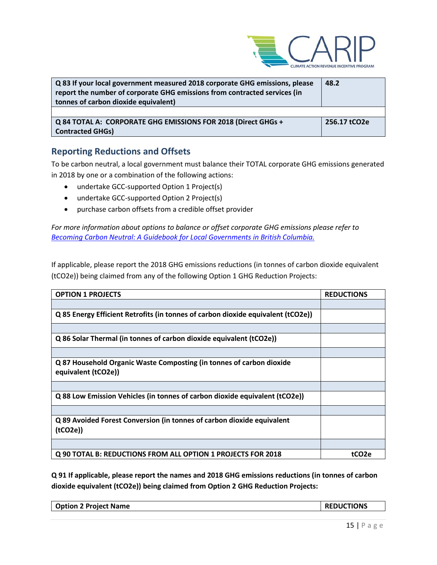

| Q 83 If your local government measured 2018 corporate GHG emissions, please<br>report the number of corporate GHG emissions from contracted services (in<br>tonnes of carbon dioxide equivalent) | 48.2         |
|--------------------------------------------------------------------------------------------------------------------------------------------------------------------------------------------------|--------------|
|                                                                                                                                                                                                  |              |
| Q 84 TOTAL A: CORPORATE GHG EMISSIONS FOR 2018 (Direct GHGs +<br><b>Contracted GHGs)</b>                                                                                                         | 256.17 tCO2e |

## **Reporting Reductions and Offsets**

To be carbon neutral, a local government must balance their TOTAL corporate GHG emissions generated in 2018 by one or a combination of the following actions:

- undertake GCC-supported Option 1 Project(s)
- undertake GCC-supported Option 2 Project(s)
- purchase carbon offsets from a credible offset provider

*For more information about options to balance or offset corporate GHG emissions please refer to [Becoming Carbon Neutral: A Guidebook for Local Governments in British Columbia.](http://www.toolkit.bc.ca/sites/default/files/Becoming%20Carbon%20Neutral%20V3%20FINAL%20July%202014_0.pdf)*

If applicable, please report the 2018 GHG emissions reductions (in tonnes of carbon dioxide equivalent (tCO2e)) being claimed from any of the following Option 1 GHG Reduction Projects:

| <b>OPTION 1 PROJECTS</b>                                                                    | <b>REDUCTIONS</b> |
|---------------------------------------------------------------------------------------------|-------------------|
|                                                                                             |                   |
| Q 85 Energy Efficient Retrofits (in tonnes of carbon dioxide equivalent (tCO2e))            |                   |
|                                                                                             |                   |
| Q 86 Solar Thermal (in tonnes of carbon dioxide equivalent (tCO2e))                         |                   |
|                                                                                             |                   |
| Q 87 Household Organic Waste Composting (in tonnes of carbon dioxide<br>equivalent (tCO2e)) |                   |
|                                                                                             |                   |
| Q 88 Low Emission Vehicles (in tonnes of carbon dioxide equivalent (tCO2e))                 |                   |
|                                                                                             |                   |
| Q 89 Avoided Forest Conversion (in tonnes of carbon dioxide equivalent<br>(tCO2e)           |                   |
|                                                                                             |                   |
| Q 90 TOTAL B: REDUCTIONS FROM ALL OPTION 1 PROJECTS FOR 2018                                | tCO <sub>2e</sub> |

**Q 91 If applicable, please report the names and 2018 GHG emissions reductions (in tonnes of carbon dioxide equivalent (tCO2e)) being claimed from Option 2 GHG Reduction Projects:**

| <b>Option 2 Project Name</b> | <b>REDUCTIONS</b> |
|------------------------------|-------------------|
|                              |                   |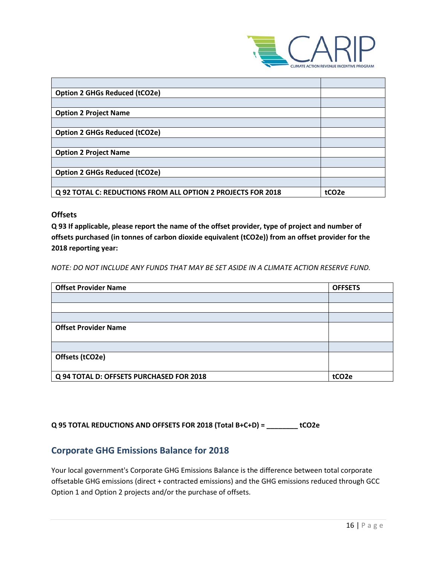

| <b>Option 2 GHGs Reduced (tCO2e)</b>                         |                    |
|--------------------------------------------------------------|--------------------|
|                                                              |                    |
| <b>Option 2 Project Name</b>                                 |                    |
|                                                              |                    |
| <b>Option 2 GHGs Reduced (tCO2e)</b>                         |                    |
|                                                              |                    |
| <b>Option 2 Project Name</b>                                 |                    |
|                                                              |                    |
| <b>Option 2 GHGs Reduced (tCO2e)</b>                         |                    |
|                                                              |                    |
| Q 92 TOTAL C: REDUCTIONS FROM ALL OPTION 2 PROJECTS FOR 2018 | tCO <sub>2</sub> e |

### **Offsets**

**Q 93 If applicable, please report the name of the offset provider, type of project and number of offsets purchased (in tonnes of carbon dioxide equivalent (tCO2e)) from an offset provider for the 2018 reporting year:**

*NOTE: DO NOT INCLUDE ANY FUNDS THAT MAY BE SET ASIDE IN A CLIMATE ACTION RESERVE FUND.*

| <b>Offset Provider Name</b>              | <b>OFFSETS</b>    |
|------------------------------------------|-------------------|
|                                          |                   |
|                                          |                   |
|                                          |                   |
| <b>Offset Provider Name</b>              |                   |
|                                          |                   |
| Offsets (tCO2e)                          |                   |
| Q 94 TOTAL D: OFFSETS PURCHASED FOR 2018 | tCO <sub>2e</sub> |

**Q 95 TOTAL REDUCTIONS AND OFFSETS FOR 2018 (Total B+C+D) = \_\_\_\_\_\_\_\_ tCO2e**

### **Corporate GHG Emissions Balance for 2018**

Your local government's Corporate GHG Emissions Balance is the difference between total corporate offsetable GHG emissions (direct + contracted emissions) and the GHG emissions reduced through GCC Option 1 and Option 2 projects and/or the purchase of offsets.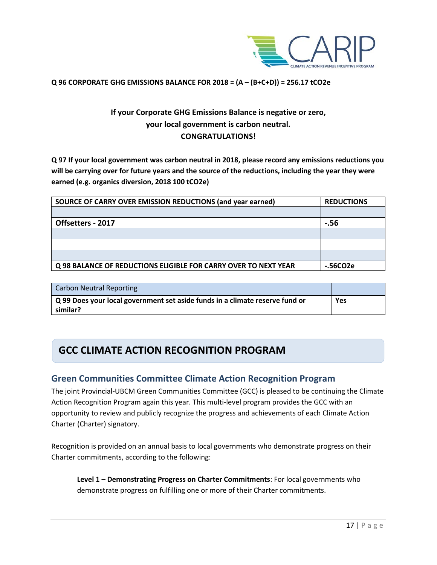

#### **Q 96 CORPORATE GHG EMISSIONS BALANCE FOR 2018 = (A – (B+C+D)) = 256.17 tCO2e**

## **If your Corporate GHG Emissions Balance is negative or zero, your local government is carbon neutral. CONGRATULATIONS!**

**Q 97 If your local government was carbon neutral in 2018, please record any emissions reductions you will be carrying over for future years and the source of the reductions, including the year they were earned (e.g. organics diversion, 2018 100 tCO2e)**

| SOURCE OF CARRY OVER EMISSION REDUCTIONS (and year earned)      | <b>REDUCTIONS</b> |
|-----------------------------------------------------------------|-------------------|
|                                                                 |                   |
| Offsetters - 2017                                               | -.56              |
|                                                                 |                   |
|                                                                 |                   |
|                                                                 |                   |
| Q 98 BALANCE OF REDUCTIONS ELIGIBLE FOR CARRY OVER TO NEXT YEAR | -.56CO2e          |

| <b>Carbon Neutral Reporting</b>                                              |     |
|------------------------------------------------------------------------------|-----|
| Q 99 Does your local government set aside funds in a climate reserve fund or | Yes |
| similar?                                                                     |     |

# **GCC CLIMATE ACTION RECOGNITION PROGRAM**

### **Green Communities Committee Climate Action Recognition Program**

The joint Provincial-UBCM Green Communities Committee (GCC) is pleased to be continuing the Climate Action Recognition Program again this year. This multi-level program provides the GCC with an opportunity to review and publicly recognize the progress and achievements of each Climate Action Charter (Charter) signatory.

Recognition is provided on an annual basis to local governments who demonstrate progress on their Charter commitments, according to the following:

**Level 1 – Demonstrating Progress on Charter Commitments**: For local governments who demonstrate progress on fulfilling one or more of their Charter commitments.